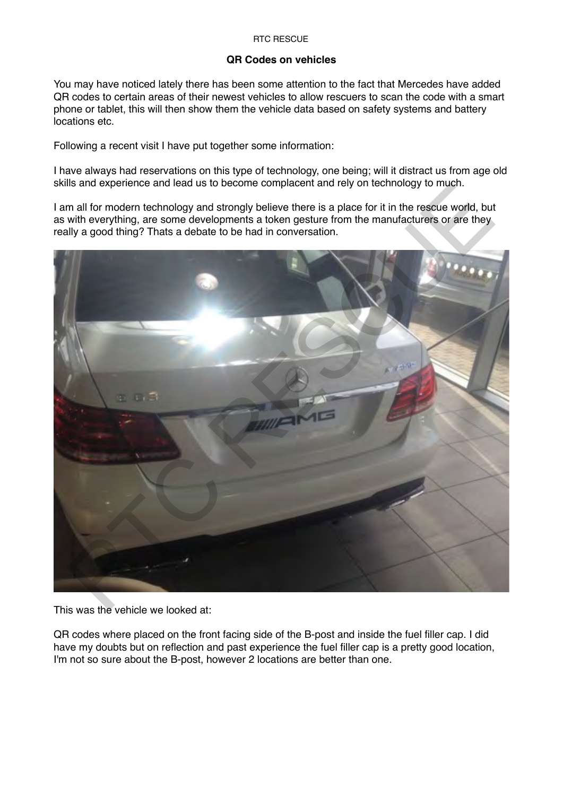## RTC RESCUE

## **QR Codes on vehicles**

You may have noticed lately there has been some attention to the fact that Mercedes have added QR codes to certain areas of their newest vehicles to allow rescuers to scan the code with a smart phone or tablet, this will then show them the vehicle data based on safety systems and battery locations etc.

Following a recent visit I have put together some information:

I have always had reservations on this type of technology, one being; will it distract us from age old skills and experience and lead us to become complacent and rely on technology to much.

I am all for modern technology and strongly believe there is a place for it in the rescue world, but as with everything, are some developments a token gesture from the manufacturers or are they really a good thing? Thats a debate to be had in conversation.



This was the vehicle we looked at:

QR codes where placed on the front facing side of the B-post and inside the fuel filler cap. I did have my doubts but on reflection and past experience the fuel filler cap is a pretty good location, I'm not so sure about the B-post, however 2 locations are better than one.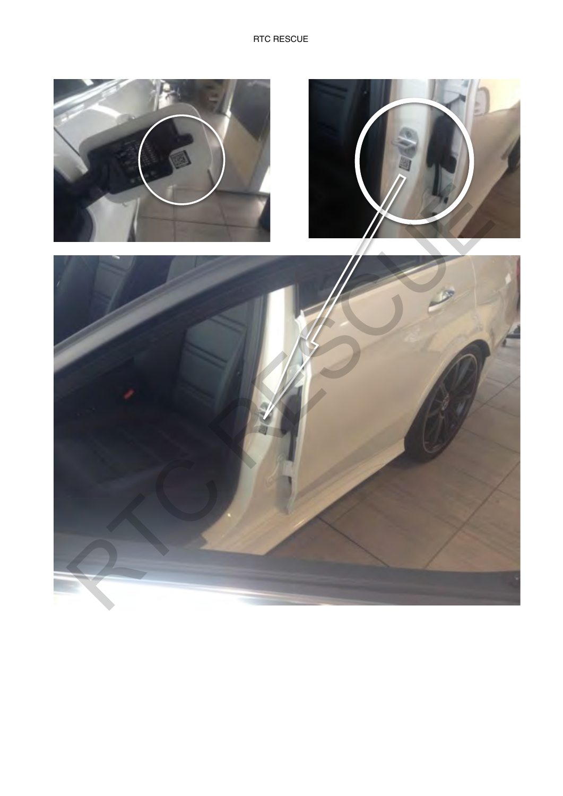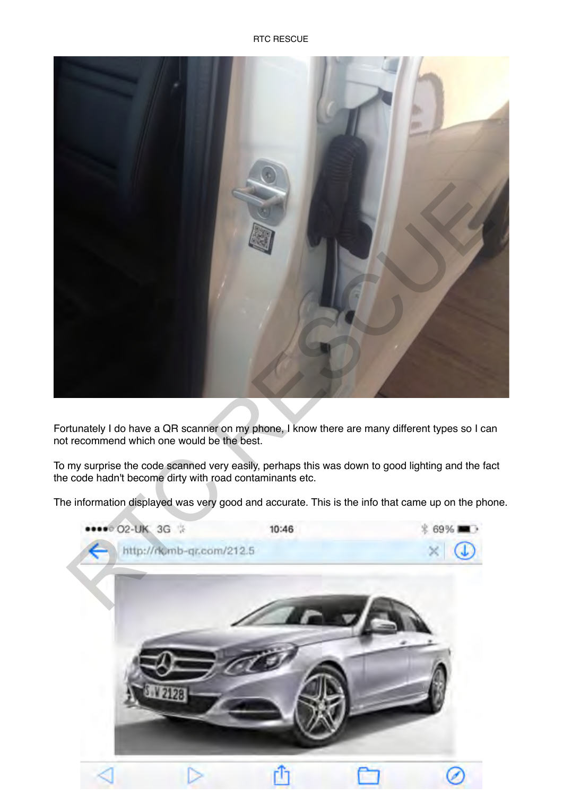

Fortunately I do have a QR scanner on my phone, I know there are many different types so I can not recommend which one would be the best.

To my surprise the code scanned very easily, perhaps this was down to good lighting and the fact the code hadn't become dirty with road contaminants etc.

The information displayed was very good and accurate. This is the info that came up on the phone.